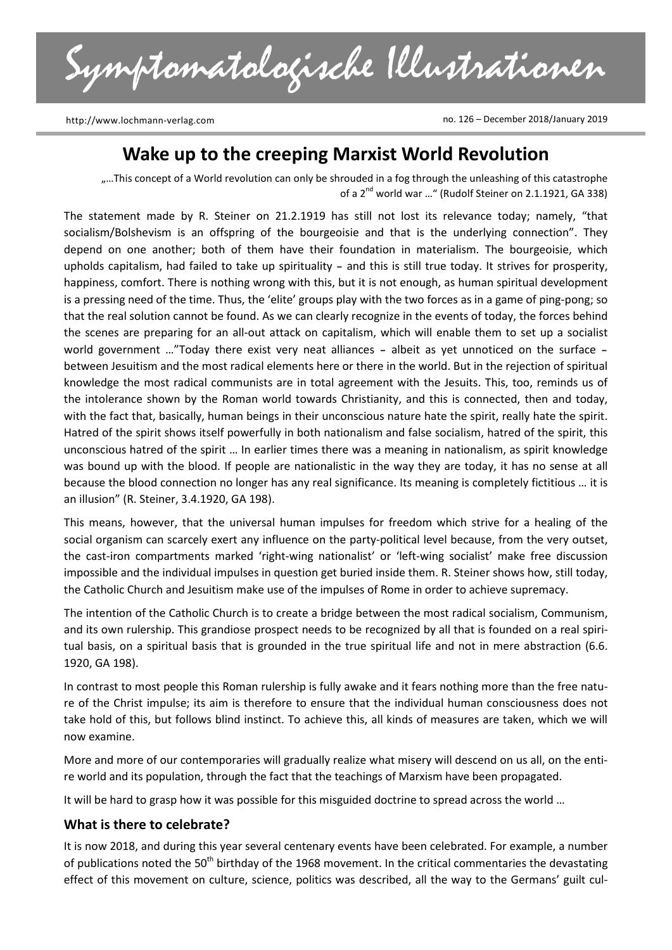Symptomatologische Illustrationen

http://www.lochmann-verlag.com

no. 126 – December 2018/January 2019

# **Wake up to the creeping Marxist World Revolution**

....This concept of a World revolution can only be shrouded in a fog through the unleashing of this catastrophe of a 2<sup>nd</sup> world war ..." (Rudolf Steiner on 2.1.1921, GA 338)

The statement made by R. Steiner on 21.2.1919 has still not lost its relevance today; namely, "that socialism/Bolshevism is an offspring of the bourgeoisie and that is the underlying connection". They depend on one another; both of them have their foundation in materialism. The bourgeoisie, which upholds capitalism, had failed to take up spirituality – and this is still true today. It strives for prosperity, happiness, comfort. There is nothing wrong with this, but it is not enough, as human spiritual development is a pressing need of the time. Thus, the 'elite' groups play with the two forces as in a game of ping-pong; so that the real solution cannot be found. As we can clearly recognize in the events of today, the forces behind the scenes are preparing for an all-out attack on capitalism, which will enable them to set up a socialist world government …"Today there exist very neat alliances – albeit as yet unnoticed on the surface – between Jesuitism and the most radical elements here or there in the world. But in the rejection of spiritual knowledge the most radical communists are in total agreement with the Jesuits. This, too, reminds us of the intolerance shown by the Roman world towards Christianity, and this is connected, then and today, with the fact that, basically, human beings in their unconscious nature hate the spirit, really hate the spirit. Hatred of the spirit shows itself powerfully in both nationalism and false socialism, hatred of the spirit, this unconscious hatred of the spirit … In earlier times there was a meaning in nationalism, as spirit knowledge was bound up with the blood. If people are nationalistic in the way they are today, it has no sense at all because the blood connection no longer has any real significance. Its meaning is completely fictitious … it is an illusion" (R. Steiner, 3.4.1920, GA 198).

This means, however, that the universal human impulses for freedom which strive for a healing of the social organism can scarcely exert any influence on the party-political level because, from the very outset, the cast-iron compartments marked 'right-wing nationalist' or 'left-wing socialist' make free discussion impossible and the individual impulses in question get buried inside them. R. Steiner shows how, still today, the Catholic Church and Jesuitism make use of the impulses of Rome in order to achieve supremacy.

The intention of the Catholic Church is to create a bridge between the most radical socialism, Communism, and its own rulership. This grandiose prospect needs to be recognized by all that is founded on a real spiritual basis, on a spiritual basis that is grounded in the true spiritual life and not in mere abstraction (6.6. 1920, GA 198).

In contrast to most people this Roman rulership is fully awake and it fears nothing more than the free nature of the Christ impulse; its aim is therefore to ensure that the individual human consciousness does not take hold of this, but follows blind instinct. To achieve this, all kinds of measures are taken, which we will now examine.

More and more of our contemporaries will gradually realize what misery will descend on us all, on the entire world and its population, through the fact that the teachings of Marxism have been propagated.

It will be hard to grasp how it was possible for this misguided doctrine to spread across the world …

#### **What is there to celebrate?**

It is now 2018, and during this year several centenary events have been celebrated. For example, a number of publications noted the 50<sup>th</sup> birthday of the 1968 movement. In the critical commentaries the devastating effect of this movement on culture, science, politics was described, all the way to the Germans' guilt cul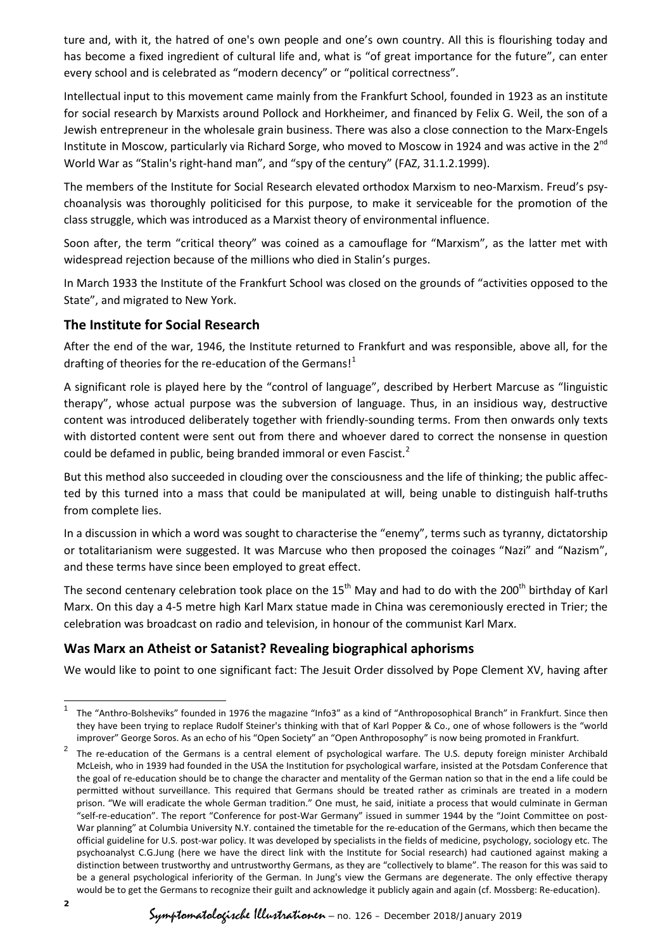ture and, with it, the hatred of one's own people and one's own country. All this is flourishing today and has become a fixed ingredient of cultural life and, what is "of great importance for the future", can enter every school and is celebrated as "modern decency" or "political correctness".

Intellectual input to this movement came mainly from the Frankfurt School, founded in 1923 as an institute for social research by Marxists around Pollock and Horkheimer, and financed by Felix G. Weil, the son of a Jewish entrepreneur in the wholesale grain business. There was also a close connection to the Marx-Engels Institute in Moscow, particularly via Richard Sorge, who moved to Moscow in 1924 and was active in the 2<sup>nd</sup> World War as "Stalin's right-hand man", and "spy of the century" (FAZ, 31.1.2.1999).

The members of the Institute for Social Research elevated orthodox Marxism to neo-Marxism. Freud's psychoanalysis was thoroughly politicised for this purpose, to make it serviceable for the promotion of the class struggle, which was introduced as a Marxist theory of environmental influence.

Soon after, the term "critical theory" was coined as a camouflage for "Marxism", as the latter met with widespread rejection because of the millions who died in Stalin's purges.

In March 1933 the Institute of the Frankfurt School was closed on the grounds of "activities opposed to the State", and migrated to New York.

## **The Institute for Social Research**

After the end of the war, 1946, the Institute returned to Frankfurt and was responsible, above all, for the drafting of theories for the re-education of the Germans!<sup>[1](#page-1-0)</sup>

A significant role is played here by the "control of language", described by Herbert Marcuse as "linguistic therapy", whose actual purpose was the subversion of language. Thus, in an insidious way, destructive content was introduced deliberately together with friendly-sounding terms. From then onwards only texts with distorted content were sent out from there and whoever dared to correct the nonsense in question could be defamed in public, being branded immoral or even Fascist.<sup>[2](#page-1-1)</sup>

But this method also succeeded in clouding over the consciousness and the life of thinking; the public affected by this turned into a mass that could be manipulated at will, being unable to distinguish half-truths from complete lies.

In a discussion in which a word was sought to characterise the "enemy", terms such as tyranny, dictatorship or totalitarianism were suggested. It was Marcuse who then proposed the coinages "Nazi" and "Nazism", and these terms have since been employed to great effect.

The second centenary celebration took place on the 15<sup>th</sup> May and had to do with the 200<sup>th</sup> birthday of Karl Marx. On this day a 4-5 metre high Karl Marx statue made in China was ceremoniously erected in Trier; the celebration was broadcast on radio and television, in honour of the communist Karl Marx.

# **Was Marx an Atheist or Satanist? Revealing biographical aphorisms**

We would like to point to one significant fact: The Jesuit Order dissolved by Pope Clement XV, having after

<span id="page-1-0"></span> <sup>1</sup> The "Anthro-Bolsheviks" founded in 1976 the magazine "Info3" as a kind of "Anthroposophical Branch" in Frankfurt. Since then they have been trying to replace Rudolf Steiner's thinking with that of Karl Popper & Co., one of whose followers is the "world improver" George Soros. As an echo of his "Open Society" an "Open Anthroposophy" is now being promoted in Frankfurt.

<span id="page-1-1"></span><sup>2</sup> The re-education of the Germans is a central element of psychological warfare. The U.S. deputy foreign minister Archibald McLeish, who in 1939 had founded in the USA the Institution for psychological warfare, insisted at the Potsdam Conference that the goal of re-education should be to change the character and mentality of the German nation so that in the end a life could be permitted without surveillance. This required that Germans should be treated rather as criminals are treated in a modern prison. "We will eradicate the whole German tradition." One must, he said, initiate a process that would culminate in German "self-re-education". The report "Conference for post-War Germany" issued in summer 1944 by the "Joint Committee on post-War planning" at Columbia University N.Y. contained the timetable for the re-education of the Germans, which then became the official guideline for U.S. post-war policy. It was developed by specialists in the fields of medicine, psychology, sociology etc. The psychoanalyst C.G.Jung (here we have the direct link with the Institute for Social research) had cautioned against making a distinction between trustworthy and untrustworthy Germans, as they are "collectively to blame". The reason for this was said to be a general psychological inferiority of the German. In Jung's view the Germans are degenerate. The only effective therapy would be to get the Germans to recognize their guilt and acknowledge it publicly again and again (cf. Mossberg: Re-education).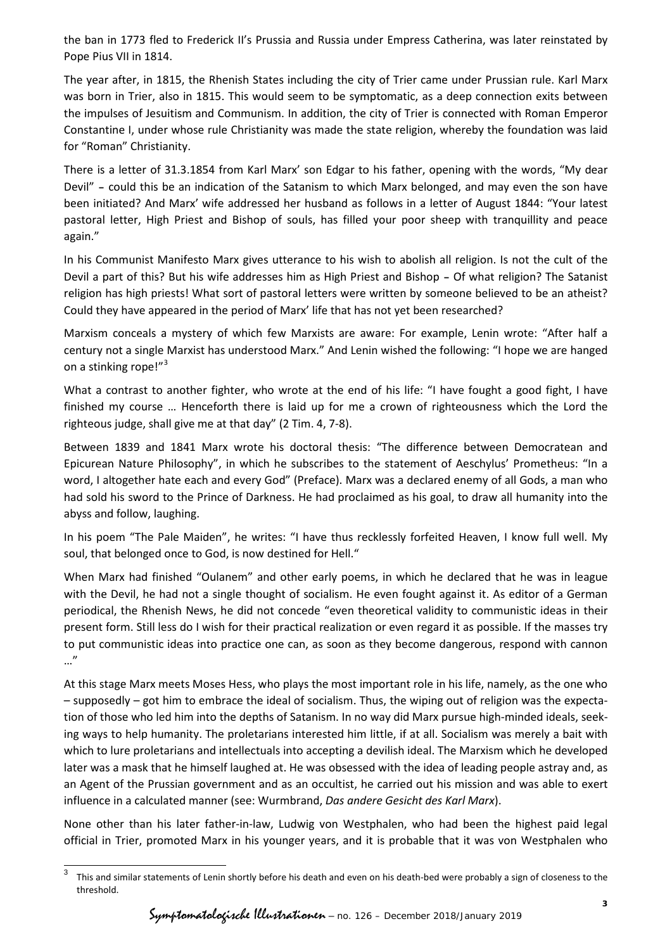the ban in 1773 fled to Frederick II's Prussia and Russia under Empress Catherina, was later reinstated by Pope Pius VII in 1814.

The year after, in 1815, the Rhenish States including the city of Trier came under Prussian rule. Karl Marx was born in Trier, also in 1815. This would seem to be symptomatic, as a deep connection exits between the impulses of Jesuitism and Communism. In addition, the city of Trier is connected with Roman Emperor Constantine I, under whose rule Christianity was made the state religion, whereby the foundation was laid for "Roman" Christianity.

There is a letter of 31.3.1854 from Karl Marx' son Edgar to his father, opening with the words, "My dear Devil" – could this be an indication of the Satanism to which Marx belonged, and may even the son have been initiated? And Marx' wife addressed her husband as follows in a letter of August 1844: "Your latest pastoral letter, High Priest and Bishop of souls, has filled your poor sheep with tranquillity and peace again."

In his Communist Manifesto Marx gives utterance to his wish to abolish all religion. Is not the cult of the Devil a part of this? But his wife addresses him as High Priest and Bishop – Of what religion? The Satanist religion has high priests! What sort of pastoral letters were written by someone believed to be an atheist? Could they have appeared in the period of Marx' life that has not yet been researched?

Marxism conceals a mystery of which few Marxists are aware: For example, Lenin wrote: "After half a century not a single Marxist has understood Marx." And Lenin wished the following: "I hope we are hanged on a stinking rope!"<sup>[3](#page-2-0)</sup>

What a contrast to another fighter, who wrote at the end of his life: "I have fought a good fight, I have finished my course … Henceforth there is laid up for me a crown of righteousness which the Lord the righteous judge, shall give me at that day" (2 Tim. 4, 7-8).

Between 1839 and 1841 Marx wrote his doctoral thesis: "The difference between Democratean and Epicurean Nature Philosophy", in which he subscribes to the statement of Aeschylus' Prometheus: "In a word, I altogether hate each and every God" (Preface). Marx was a declared enemy of all Gods, a man who had sold his sword to the Prince of Darkness. He had proclaimed as his goal, to draw all humanity into the abyss and follow, laughing.

In his poem "The Pale Maiden", he writes: "I have thus recklessly forfeited Heaven, I know full well. My soul, that belonged once to God, is now destined for Hell."

When Marx had finished "Oulanem" and other early poems, in which he declared that he was in league with the Devil, he had not a single thought of socialism. He even fought against it. As editor of a German periodical, the Rhenish News, he did not concede "even theoretical validity to communistic ideas in their present form. Still less do I wish for their practical realization or even regard it as possible. If the masses try to put communistic ideas into practice one can, as soon as they become dangerous, respond with cannon …"

At this stage Marx meets Moses Hess, who plays the most important role in his life, namely, as the one who – supposedly – got him to embrace the ideal of socialism. Thus, the wiping out of religion was the expectation of those who led him into the depths of Satanism. In no way did Marx pursue high-minded ideals, seeking ways to help humanity. The proletarians interested him little, if at all. Socialism was merely a bait with which to lure proletarians and intellectuals into accepting a devilish ideal. The Marxism which he developed later was a mask that he himself laughed at. He was obsessed with the idea of leading people astray and, as an Agent of the Prussian government and as an occultist, he carried out his mission and was able to exert influence in a calculated manner (see: Wurmbrand, *Das andere Gesicht des Karl Marx*).

None other than his later father-in-law, Ludwig von Westphalen, who had been the highest paid legal official in Trier, promoted Marx in his younger years, and it is probable that it was von Westphalen who

<span id="page-2-0"></span>This and similar statements of Lenin shortly before his death and even on his death-bed were probably a sign of closeness to the threshold.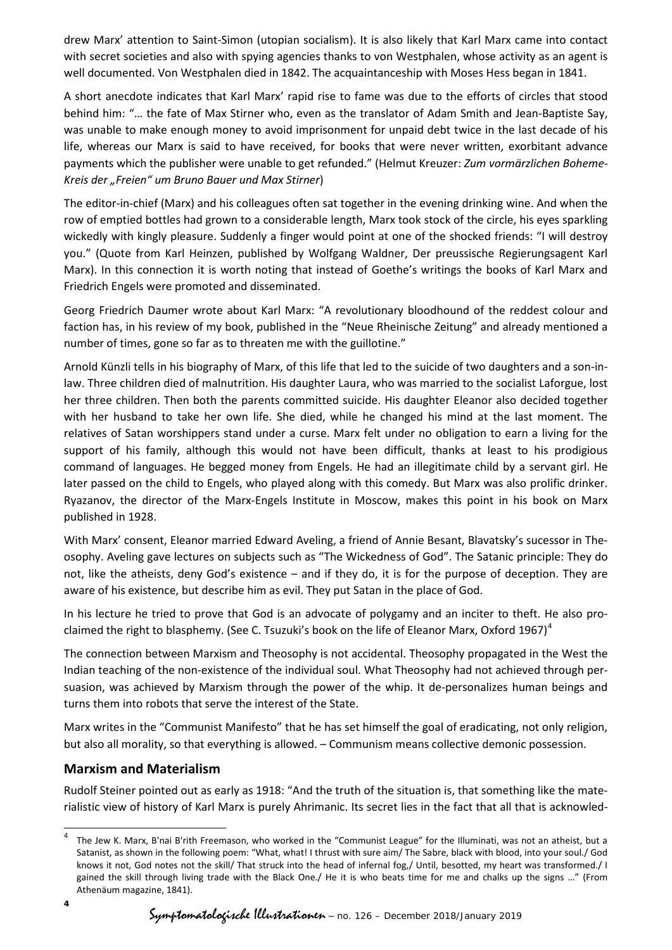drew Marx' attention to Saint-Simon (utopian socialism). It is also likely that Karl Marx came into contact with secret societies and also with spying agencies thanks to von Westphalen, whose activity as an agent is well documented. Von Westphalen died in 1842. The acquaintanceship with Moses Hess began in 1841.

A short anecdote indicates that Karl Marx' rapid rise to fame was due to the efforts of circles that stood behind him: "… the fate of Max Stirner who, even as the translator of Adam Smith and Jean-Baptiste Say, was unable to make enough money to avoid imprisonment for unpaid debt twice in the last decade of his life, whereas our Marx is said to have received, for books that were never written, exorbitant advance payments which the publisher were unable to get refunded." (Helmut Kreuzer: *Zum vormärzlichen Boheme-Kreis der "Freien" um Bruno Bauer und Max Stirner*)

The editor-in-chief (Marx) and his colleagues often sat together in the evening drinking wine. And when the row of emptied bottles had grown to a considerable length, Marx took stock of the circle, his eyes sparkling wickedly with kingly pleasure. Suddenly a finger would point at one of the shocked friends: "I will destroy you." (Quote from Karl Heinzen, published by Wolfgang Waldner, Der preussische Regierungsagent Karl Marx). In this connection it is worth noting that instead of Goethe's writings the books of Karl Marx and Friedrich Engels were promoted and disseminated.

Georg Friedrich Daumer wrote about Karl Marx: "A revolutionary bloodhound of the reddest colour and faction has, in his review of my book, published in the "Neue Rheinische Zeitung" and already mentioned a number of times, gone so far as to threaten me with the guillotine."

Arnold Künzli tells in his biography of Marx, of this life that led to the suicide of two daughters and a son-inlaw. Three children died of malnutrition. His daughter Laura, who was married to the socialist Laforgue, lost her three children. Then both the parents committed suicide. His daughter Eleanor also decided together with her husband to take her own life. She died, while he changed his mind at the last moment. The relatives of Satan worshippers stand under a curse. Marx felt under no obligation to earn a living for the support of his family, although this would not have been difficult, thanks at least to his prodigious command of languages. He begged money from Engels. He had an illegitimate child by a servant girl. He later passed on the child to Engels, who played along with this comedy. But Marx was also prolific drinker. Ryazanov, the director of the Marx-Engels Institute in Moscow, makes this point in his book on Marx published in 1928.

With Marx' consent, Eleanor married Edward Aveling, a friend of Annie Besant, Blavatsky's sucessor in Theosophy. Aveling gave lectures on subjects such as "The Wickedness of God". The Satanic principle: They do not, like the atheists, deny God's existence – and if they do, it is for the purpose of deception. They are aware of his existence, but describe him as evil. They put Satan in the place of God.

In his lecture he tried to prove that God is an advocate of polygamy and an inciter to theft. He also pro-claimed the right to blasphemy. (See C. Tsuzuki's book on the life of Eleanor Marx, Oxford 1967)<sup>[4](#page-3-0)</sup>

The connection between Marxism and Theosophy is not accidental. Theosophy propagated in the West the Indian teaching of the non-existence of the individual soul. What Theosophy had not achieved through persuasion, was achieved by Marxism through the power of the whip. It de-personalizes human beings and turns them into robots that serve the interest of the State.

Marx writes in the "Communist Manifesto" that he has set himself the goal of eradicating, not only religion, but also all morality, so that everything is allowed. – Communism means collective demonic possession.

### **Marxism and Materialism**

Rudolf Steiner pointed out as early as 1918: "And the truth of the situation is, that something like the materialistic view of history of Karl Marx is purely Ahrimanic. Its secret lies in the fact that all that is acknowled-

<span id="page-3-0"></span> <sup>4</sup> The Jew K. Marx, B'nai B'rith Freemason, who worked in the "Communist League" for the Illuminati, was not an atheist, but a Satanist, as shown in the following poem: "What, what! I thrust with sure aim/ The Sabre, black with blood, into your soul./ God knows it not, God notes not the skill/ That struck into the head of infernal fog,/ Until, besotted, my heart was transformed./ I gained the skill through living trade with the Black One./ He it is who beats time for me and chalks up the signs …" (From Athenäum magazine, 1841).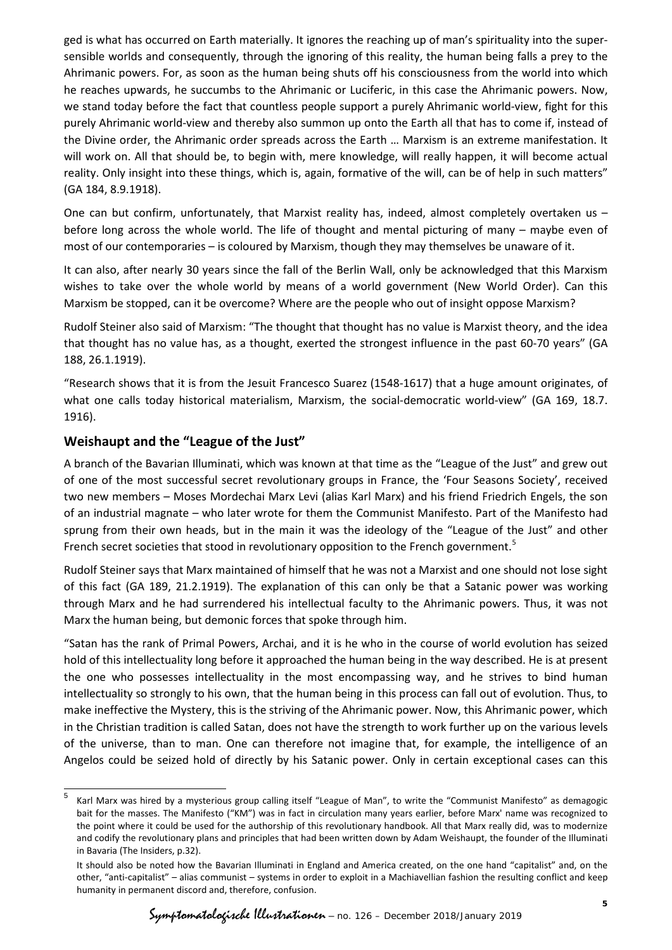ged is what has occurred on Earth materially. It ignores the reaching up of man's spirituality into the supersensible worlds and consequently, through the ignoring of this reality, the human being falls a prey to the Ahrimanic powers. For, as soon as the human being shuts off his consciousness from the world into which he reaches upwards, he succumbs to the Ahrimanic or Luciferic, in this case the Ahrimanic powers. Now, we stand today before the fact that countless people support a purely Ahrimanic world-view, fight for this purely Ahrimanic world-view and thereby also summon up onto the Earth all that has to come if, instead of the Divine order, the Ahrimanic order spreads across the Earth … Marxism is an extreme manifestation. It will work on. All that should be, to begin with, mere knowledge, will really happen, it will become actual reality. Only insight into these things, which is, again, formative of the will, can be of help in such matters" (GA 184, 8.9.1918).

One can but confirm, unfortunately, that Marxist reality has, indeed, almost completely overtaken us before long across the whole world. The life of thought and mental picturing of many – maybe even of most of our contemporaries – is coloured by Marxism, though they may themselves be unaware of it.

It can also, after nearly 30 years since the fall of the Berlin Wall, only be acknowledged that this Marxism wishes to take over the whole world by means of a world government (New World Order). Can this Marxism be stopped, can it be overcome? Where are the people who out of insight oppose Marxism?

Rudolf Steiner also said of Marxism: "The thought that thought has no value is Marxist theory, and the idea that thought has no value has, as a thought, exerted the strongest influence in the past 60-70 years" (GA 188, 26.1.1919).

"Research shows that it is from the Jesuit Francesco Suarez (1548-1617) that a huge amount originates, of what one calls today historical materialism, Marxism, the social-democratic world-view" (GA 169, 18.7. 1916).

### **Weishaupt and the "League of the Just"**

A branch of the Bavarian Illuminati, which was known at that time as the "League of the Just" and grew out of one of the most successful secret revolutionary groups in France, the 'Four Seasons Society', received two new members – Moses Mordechai Marx Levi (alias Karl Marx) and his friend Friedrich Engels, the son of an industrial magnate – who later wrote for them the Communist Manifesto. Part of the Manifesto had sprung from their own heads, but in the main it was the ideology of the "League of the Just" and other French secret societies that stood in revolutionary opposition to the French government.<sup>[5](#page-4-0)</sup>

Rudolf Steiner says that Marx maintained of himself that he was not a Marxist and one should not lose sight of this fact (GA 189, 21.2.1919). The explanation of this can only be that a Satanic power was working through Marx and he had surrendered his intellectual faculty to the Ahrimanic powers. Thus, it was not Marx the human being, but demonic forces that spoke through him.

"Satan has the rank of Primal Powers, Archai, and it is he who in the course of world evolution has seized hold of this intellectuality long before it approached the human being in the way described. He is at present the one who possesses intellectuality in the most encompassing way, and he strives to bind human intellectuality so strongly to his own, that the human being in this process can fall out of evolution. Thus, to make ineffective the Mystery, this is the striving of the Ahrimanic power. Now, this Ahrimanic power, which in the Christian tradition is called Satan, does not have the strength to work further up on the various levels of the universe, than to man. One can therefore not imagine that, for example, the intelligence of an Angelos could be seized hold of directly by his Satanic power. Only in certain exceptional cases can this

<span id="page-4-0"></span> <sup>5</sup> Karl Marx was hired by a mysterious group calling itself "League of Man", to write the "Communist Manifesto" as demagogic bait for the masses. The Manifesto ("KM") was in fact in circulation many years earlier, before Marx' name was recognized to the point where it could be used for the authorship of this revolutionary handbook. All that Marx really did, was to modernize and codify the revolutionary plans and principles that had been written down by Adam Weishaupt, the founder of the Illuminati in Bavaria (The Insiders, p.32).

It should also be noted how the Bavarian Illuminati in England and America created, on the one hand "capitalist" and, on the other, "anti-capitalist" – alias communist – systems in order to exploit in a Machiavellian fashion the resulting conflict and keep humanity in permanent discord and, therefore, confusion.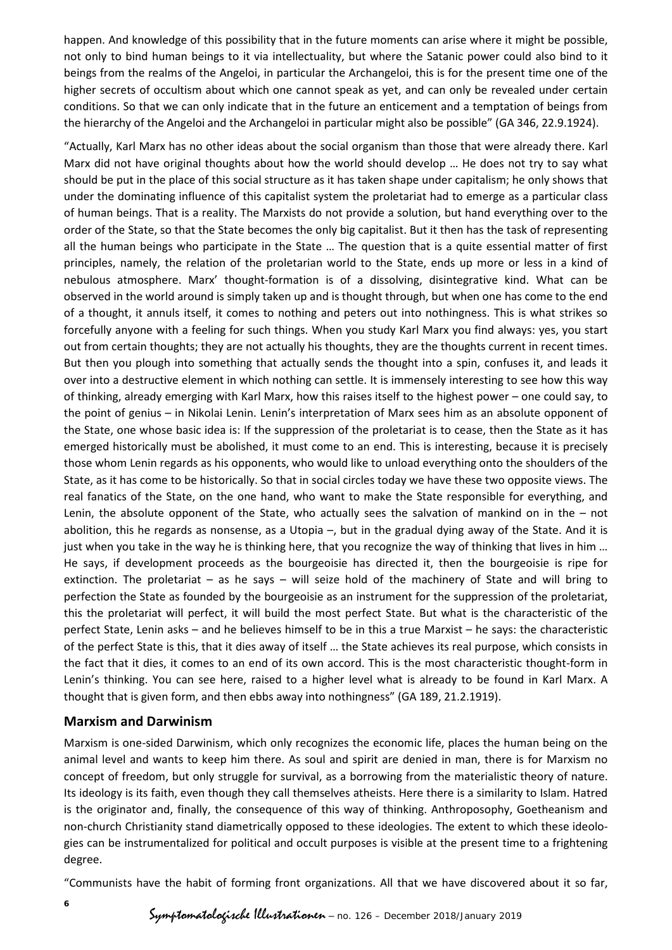happen. And knowledge of this possibility that in the future moments can arise where it might be possible, not only to bind human beings to it via intellectuality, but where the Satanic power could also bind to it beings from the realms of the Angeloi, in particular the Archangeloi, this is for the present time one of the higher secrets of occultism about which one cannot speak as yet, and can only be revealed under certain conditions. So that we can only indicate that in the future an enticement and a temptation of beings from the hierarchy of the Angeloi and the Archangeloi in particular might also be possible" (GA 346, 22.9.1924).

"Actually, Karl Marx has no other ideas about the social organism than those that were already there. Karl Marx did not have original thoughts about how the world should develop … He does not try to say what should be put in the place of this social structure as it has taken shape under capitalism; he only shows that under the dominating influence of this capitalist system the proletariat had to emerge as a particular class of human beings. That is a reality. The Marxists do not provide a solution, but hand everything over to the order of the State, so that the State becomes the only big capitalist. But it then has the task of representing all the human beings who participate in the State … The question that is a quite essential matter of first principles, namely, the relation of the proletarian world to the State, ends up more or less in a kind of nebulous atmosphere. Marx' thought-formation is of a dissolving, disintegrative kind. What can be observed in the world around is simply taken up and is thought through, but when one has come to the end of a thought, it annuls itself, it comes to nothing and peters out into nothingness. This is what strikes so forcefully anyone with a feeling for such things. When you study Karl Marx you find always: yes, you start out from certain thoughts; they are not actually his thoughts, they are the thoughts current in recent times. But then you plough into something that actually sends the thought into a spin, confuses it, and leads it over into a destructive element in which nothing can settle. It is immensely interesting to see how this way of thinking, already emerging with Karl Marx, how this raises itself to the highest power – one could say, to the point of genius – in Nikolai Lenin. Lenin's interpretation of Marx sees him as an absolute opponent of the State, one whose basic idea is: If the suppression of the proletariat is to cease, then the State as it has emerged historically must be abolished, it must come to an end. This is interesting, because it is precisely those whom Lenin regards as his opponents, who would like to unload everything onto the shoulders of the State, as it has come to be historically. So that in social circles today we have these two opposite views. The real fanatics of the State, on the one hand, who want to make the State responsible for everything, and Lenin, the absolute opponent of the State, who actually sees the salvation of mankind on in the – not abolition, this he regards as nonsense, as a Utopia –, but in the gradual dying away of the State. And it is just when you take in the way he is thinking here, that you recognize the way of thinking that lives in him … He says, if development proceeds as the bourgeoisie has directed it, then the bourgeoisie is ripe for extinction. The proletariat – as he says – will seize hold of the machinery of State and will bring to perfection the State as founded by the bourgeoisie as an instrument for the suppression of the proletariat, this the proletariat will perfect, it will build the most perfect State. But what is the characteristic of the perfect State, Lenin asks – and he believes himself to be in this a true Marxist – he says: the characteristic of the perfect State is this, that it dies away of itself … the State achieves its real purpose, which consists in the fact that it dies, it comes to an end of its own accord. This is the most characteristic thought-form in Lenin's thinking. You can see here, raised to a higher level what is already to be found in Karl Marx. A thought that is given form, and then ebbs away into nothingness" (GA 189, 21.2.1919).

### **Marxism and Darwinism**

Marxism is one-sided Darwinism, which only recognizes the economic life, places the human being on the animal level and wants to keep him there. As soul and spirit are denied in man, there is for Marxism no concept of freedom, but only struggle for survival, as a borrowing from the materialistic theory of nature. Its ideology is its faith, even though they call themselves atheists. Here there is a similarity to Islam. Hatred is the originator and, finally, the consequence of this way of thinking. Anthroposophy, Goetheanism and non-church Christianity stand diametrically opposed to these ideologies. The extent to which these ideologies can be instrumentalized for political and occult purposes is visible at the present time to a frightening degree.

"Communists have the habit of forming front organizations. All that we have discovered about it so far,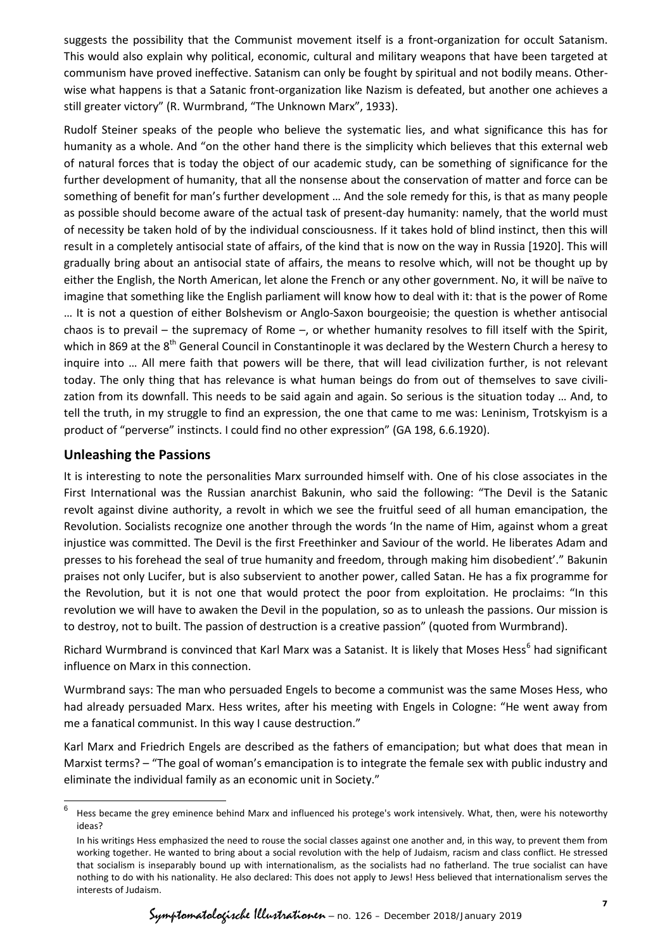suggests the possibility that the Communist movement itself is a front-organization for occult Satanism. This would also explain why political, economic, cultural and military weapons that have been targeted at communism have proved ineffective. Satanism can only be fought by spiritual and not bodily means. Otherwise what happens is that a Satanic front-organization like Nazism is defeated, but another one achieves a still greater victory" (R. Wurmbrand, "The Unknown Marx", 1933).

Rudolf Steiner speaks of the people who believe the systematic lies, and what significance this has for humanity as a whole. And "on the other hand there is the simplicity which believes that this external web of natural forces that is today the object of our academic study, can be something of significance for the further development of humanity, that all the nonsense about the conservation of matter and force can be something of benefit for man's further development … And the sole remedy for this, is that as many people as possible should become aware of the actual task of present-day humanity: namely, that the world must of necessity be taken hold of by the individual consciousness. If it takes hold of blind instinct, then this will result in a completely antisocial state of affairs, of the kind that is now on the way in Russia [1920]. This will gradually bring about an antisocial state of affairs, the means to resolve which, will not be thought up by either the English, the North American, let alone the French or any other government. No, it will be naïve to imagine that something like the English parliament will know how to deal with it: that is the power of Rome … It is not a question of either Bolshevism or Anglo-Saxon bourgeoisie; the question is whether antisocial chaos is to prevail – the supremacy of Rome –, or whether humanity resolves to fill itself with the Spirit, which in 869 at the 8<sup>th</sup> General Council in Constantinople it was declared by the Western Church a heresy to inquire into … All mere faith that powers will be there, that will lead civilization further, is not relevant today. The only thing that has relevance is what human beings do from out of themselves to save civilization from its downfall. This needs to be said again and again. So serious is the situation today … And, to tell the truth, in my struggle to find an expression, the one that came to me was: Leninism, Trotskyism is a product of "perverse" instincts. I could find no other expression" (GA 198, 6.6.1920).

### **Unleashing the Passions**

It is interesting to note the personalities Marx surrounded himself with. One of his close associates in the First International was the Russian anarchist Bakunin, who said the following: "The Devil is the Satanic revolt against divine authority, a revolt in which we see the fruitful seed of all human emancipation, the Revolution. Socialists recognize one another through the words 'In the name of Him, against whom a great injustice was committed. The Devil is the first Freethinker and Saviour of the world. He liberates Adam and presses to his forehead the seal of true humanity and freedom, through making him disobedient'." Bakunin praises not only Lucifer, but is also subservient to another power, called Satan. He has a fix programme for the Revolution, but it is not one that would protect the poor from exploitation. He proclaims: "In this revolution we will have to awaken the Devil in the population, so as to unleash the passions. Our mission is to destroy, not to built. The passion of destruction is a creative passion" (quoted from Wurmbrand).

Richard Wurmbrand is convinced that Karl Marx was a Satanist. It is likely that Moses Hess<sup>[6](#page-6-0)</sup> had significant influence on Marx in this connection.

Wurmbrand says: The man who persuaded Engels to become a communist was the same Moses Hess, who had already persuaded Marx. Hess writes, after his meeting with Engels in Cologne: "He went away from me a fanatical communist. In this way I cause destruction."

Karl Marx and Friedrich Engels are described as the fathers of emancipation; but what does that mean in Marxist terms? – "The goal of woman's emancipation is to integrate the female sex with public industry and eliminate the individual family as an economic unit in Society."

<span id="page-6-0"></span> $6$  Hess became the grey eminence behind Marx and influenced his protege's work intensively. What, then, were his noteworthy ideas?

In his writings Hess emphasized the need to rouse the social classes against one another and, in this way, to prevent them from working together. He wanted to bring about a social revolution with the help of Judaism, racism and class conflict. He stressed that socialism is inseparably bound up with internationalism, as the socialists had no fatherland. The true socialist can have nothing to do with his nationality. He also declared: This does not apply to Jews! Hess believed that internationalism serves the interests of Judaism.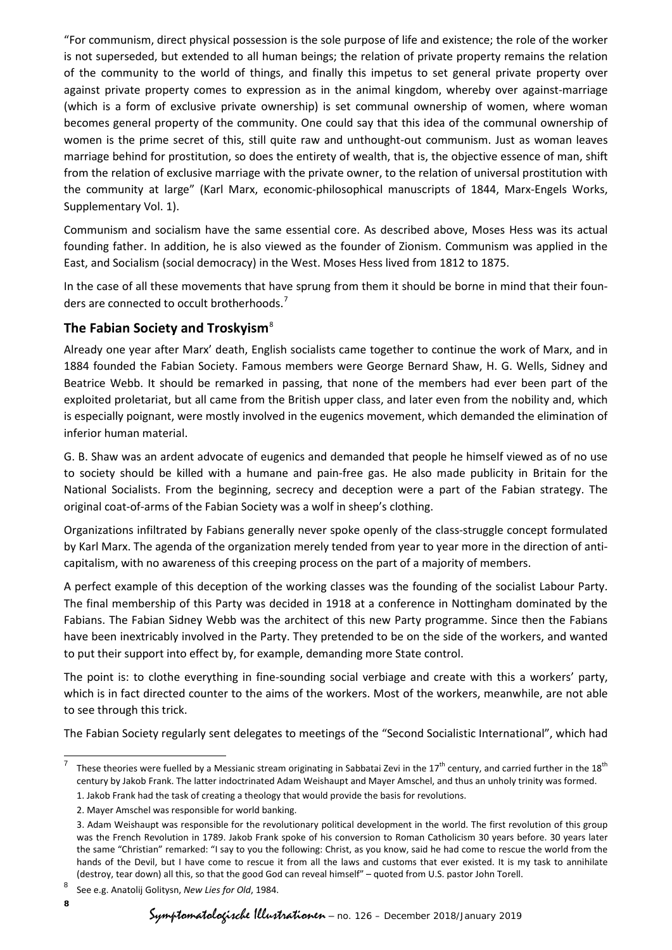"For communism, direct physical possession is the sole purpose of life and existence; the role of the worker is not superseded, but extended to all human beings; the relation of private property remains the relation of the community to the world of things, and finally this impetus to set general private property over against private property comes to expression as in the animal kingdom, whereby over against-marriage (which is a form of exclusive private ownership) is set communal ownership of women, where woman becomes general property of the community. One could say that this idea of the communal ownership of women is the prime secret of this, still quite raw and unthought-out communism. Just as woman leaves marriage behind for prostitution, so does the entirety of wealth, that is, the objective essence of man, shift from the relation of exclusive marriage with the private owner, to the relation of universal prostitution with the community at large" (Karl Marx, economic-philosophical manuscripts of 1844, Marx-Engels Works, Supplementary Vol. 1).

Communism and socialism have the same essential core. As described above, Moses Hess was its actual founding father. In addition, he is also viewed as the founder of Zionism. Communism was applied in the East, and Socialism (social democracy) in the West. Moses Hess lived from 1812 to 1875.

In the case of all these movements that have sprung from them it should be borne in mind that their foun-ders are connected to occult brotherhoods.<sup>[7](#page-7-0)</sup>

# **The Fabian Society and Troskyism**[8](#page-7-1)

Already one year after Marx' death, English socialists came together to continue the work of Marx, and in 1884 founded the Fabian Society. Famous members were George Bernard Shaw, H. G. Wells, Sidney and Beatrice Webb. It should be remarked in passing, that none of the members had ever been part of the exploited proletariat, but all came from the British upper class, and later even from the nobility and, which is especially poignant, were mostly involved in the eugenics movement, which demanded the elimination of inferior human material.

G. B. Shaw was an ardent advocate of eugenics and demanded that people he himself viewed as of no use to society should be killed with a humane and pain-free gas. He also made publicity in Britain for the National Socialists. From the beginning, secrecy and deception were a part of the Fabian strategy. The original coat-of-arms of the Fabian Society was a wolf in sheep's clothing.

Organizations infiltrated by Fabians generally never spoke openly of the class-struggle concept formulated by Karl Marx. The agenda of the organization merely tended from year to year more in the direction of anticapitalism, with no awareness of this creeping process on the part of a majority of members.

A perfect example of this deception of the working classes was the founding of the socialist Labour Party. The final membership of this Party was decided in 1918 at a conference in Nottingham dominated by the Fabians. The Fabian Sidney Webb was the architect of this new Party programme. Since then the Fabians have been inextricably involved in the Party. They pretended to be on the side of the workers, and wanted to put their support into effect by, for example, demanding more State control.

The point is: to clothe everything in fine-sounding social verbiage and create with this a workers' party, which is in fact directed counter to the aims of the workers. Most of the workers, meanwhile, are not able to see through this trick.

The Fabian Society regularly sent delegates to meetings of the "Second Socialistic International", which had

<span id="page-7-0"></span>These theories were fuelled by a Messianic stream originating in Sabbatai Zevi in the  $17<sup>th</sup>$  century, and carried further in the  $18<sup>th</sup>$ century by Jakob Frank. The latter indoctrinated Adam Weishaupt and Mayer Amschel, and thus an unholy trinity was formed.

 <sup>1.</sup> Jakob Frank had the task of creating a theology that would provide the basis for revolutions.

 <sup>2.</sup> Mayer Amschel was responsible for world banking.

<sup>3.</sup> Adam Weishaupt was responsible for the revolutionary political development in the world. The first revolution of this group was the French Revolution in 1789. Jakob Frank spoke of his conversion to Roman Catholicism 30 years before. 30 years later the same "Christian" remarked: "I say to you the following: Christ, as you know, said he had come to rescue the world from the hands of the Devil, but I have come to rescue it from all the laws and customs that ever existed. It is my task to annihilate (destroy, tear down) all this, so that the good God can reveal himself" – quoted from U.S. pastor John Torell.

<span id="page-7-1"></span><sup>8</sup> See e.g. Anatolij Golitysn, *New Lies for Old*, 1984.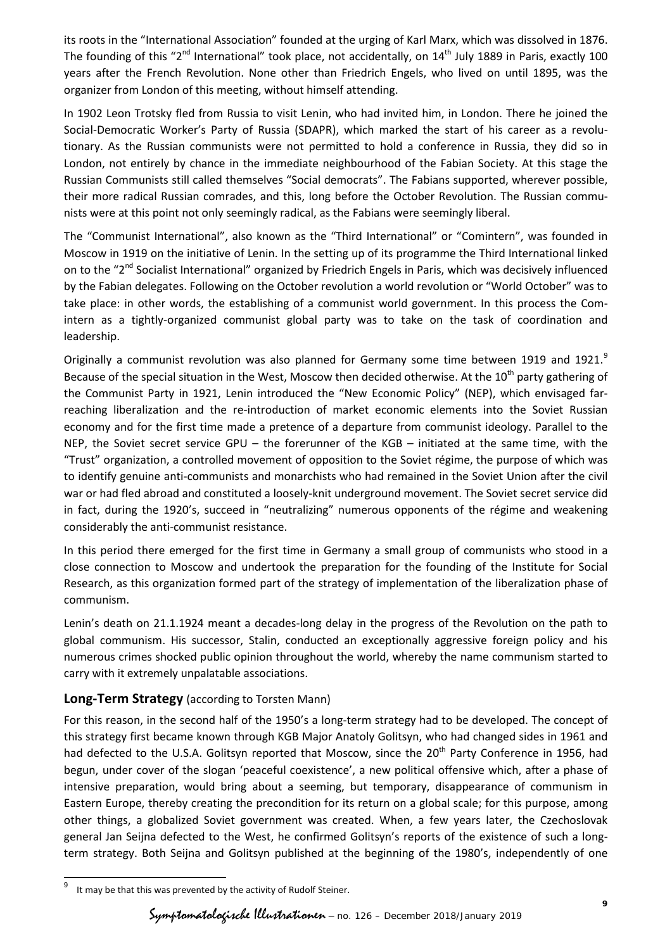its roots in the "International Association" founded at the urging of Karl Marx, which was dissolved in 1876. The founding of this " $2^{nd}$  International" took place, not accidentally, on  $14^{th}$  July 1889 in Paris, exactly 100 years after the French Revolution. None other than Friedrich Engels, who lived on until 1895, was the organizer from London of this meeting, without himself attending.

In 1902 Leon Trotsky fled from Russia to visit Lenin, who had invited him, in London. There he joined the Social-Democratic Worker's Party of Russia (SDAPR), which marked the start of his career as a revolutionary. As the Russian communists were not permitted to hold a conference in Russia, they did so in London, not entirely by chance in the immediate neighbourhood of the Fabian Society. At this stage the Russian Communists still called themselves "Social democrats". The Fabians supported, wherever possible, their more radical Russian comrades, and this, long before the October Revolution. The Russian communists were at this point not only seemingly radical, as the Fabians were seemingly liberal.

The "Communist International", also known as the "Third International" or "Comintern", was founded in Moscow in 1919 on the initiative of Lenin. In the setting up of its programme the Third International linked on to the "2<sup>nd</sup> Socialist International" organized by Friedrich Engels in Paris, which was decisively influenced by the Fabian delegates. Following on the October revolution a world revolution or "World October" was to take place: in other words, the establishing of a communist world government. In this process the Comintern as a tightly-organized communist global party was to take on the task of coordination and leadership.

Originally a communist revolution was also planned for Germany some time between 1[9](#page-8-0)19 and 1921.<sup>9</sup> Because of the special situation in the West, Moscow then decided otherwise. At the  $10^{th}$  party gathering of the Communist Party in 1921, Lenin introduced the "New Economic Policy" (NEP), which envisaged farreaching liberalization and the re-introduction of market economic elements into the Soviet Russian economy and for the first time made a pretence of a departure from communist ideology. Parallel to the NEP, the Soviet secret service GPU – the forerunner of the KGB – initiated at the same time, with the "Trust" organization, a controlled movement of opposition to the Soviet régime, the purpose of which was to identify genuine anti-communists and monarchists who had remained in the Soviet Union after the civil war or had fled abroad and constituted a loosely-knit underground movement. The Soviet secret service did in fact, during the 1920's, succeed in "neutralizing" numerous opponents of the régime and weakening considerably the anti-communist resistance.

In this period there emerged for the first time in Germany a small group of communists who stood in a close connection to Moscow and undertook the preparation for the founding of the Institute for Social Research, as this organization formed part of the strategy of implementation of the liberalization phase of communism.

Lenin's death on 21.1.1924 meant a decades-long delay in the progress of the Revolution on the path to global communism. His successor, Stalin, conducted an exceptionally aggressive foreign policy and his numerous crimes shocked public opinion throughout the world, whereby the name communism started to carry with it extremely unpalatable associations.

### **Long-Term Strategy** (according to Torsten Mann)

For this reason, in the second half of the 1950's a long-term strategy had to be developed. The concept of this strategy first became known through KGB Major Anatoly Golitsyn, who had changed sides in 1961 and had defected to the U.S.A. Golitsyn reported that Moscow, since the 20<sup>th</sup> Party Conference in 1956, had begun, under cover of the slogan 'peaceful coexistence', a new political offensive which, after a phase of intensive preparation, would bring about a seeming, but temporary, disappearance of communism in Eastern Europe, thereby creating the precondition for its return on a global scale; for this purpose, among other things, a globalized Soviet government was created. When, a few years later, the Czechoslovak general Jan Seijna defected to the West, he confirmed Golitsyn's reports of the existence of such a longterm strategy. Both Seijna and Golitsyn published at the beginning of the 1980's, independently of one

<span id="page-8-0"></span> <sup>9</sup> It may be that this was prevented by the activity of Rudolf Steiner.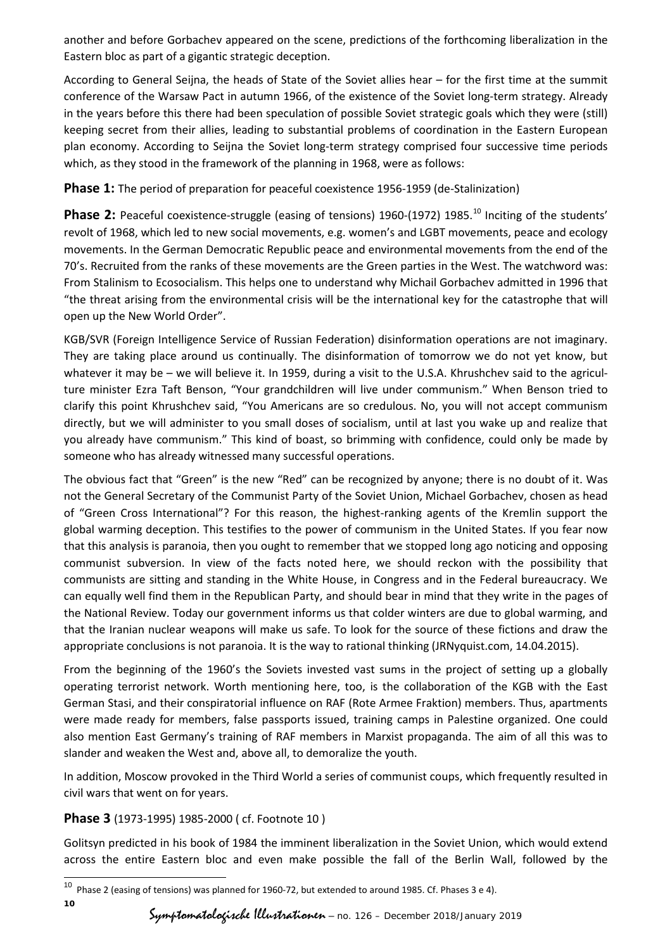another and before Gorbachev appeared on the scene, predictions of the forthcoming liberalization in the Eastern bloc as part of a gigantic strategic deception.

According to General Seijna, the heads of State of the Soviet allies hear – for the first time at the summit conference of the Warsaw Pact in autumn 1966, of the existence of the Soviet long-term strategy. Already in the years before this there had been speculation of possible Soviet strategic goals which they were (still) keeping secret from their allies, leading to substantial problems of coordination in the Eastern European plan economy. According to Seijna the Soviet long-term strategy comprised four successive time periods which, as they stood in the framework of the planning in 1968, were as follows:

### **Phase 1:** The period of preparation for peaceful coexistence 1956-1959 (de-Stalinization)

Phase 2: Peaceful coexistence-struggle (easing of tensions) 1960-(1972) 1985.<sup>[10](#page-9-0)</sup> Inciting of the students' revolt of 1968, which led to new social movements, e.g. women's and LGBT movements, peace and ecology movements. In the German Democratic Republic peace and environmental movements from the end of the 70's. Recruited from the ranks of these movements are the Green parties in the West. The watchword was: From Stalinism to Ecosocialism. This helps one to understand why Michail Gorbachev admitted in 1996 that "the threat arising from the environmental crisis will be the international key for the catastrophe that will open up the New World Order".

KGB/SVR (Foreign Intelligence Service of Russian Federation) disinformation operations are not imaginary. They are taking place around us continually. The disinformation of tomorrow we do not yet know, but whatever it may be – we will believe it. In 1959, during a visit to the U.S.A. Khrushchev said to the agriculture minister Ezra Taft Benson, "Your grandchildren will live under communism." When Benson tried to clarify this point Khrushchev said, "You Americans are so credulous. No, you will not accept communism directly, but we will administer to you small doses of socialism, until at last you wake up and realize that you already have communism." This kind of boast, so brimming with confidence, could only be made by someone who has already witnessed many successful operations.

The obvious fact that "Green" is the new "Red" can be recognized by anyone; there is no doubt of it. Was not the General Secretary of the Communist Party of the Soviet Union, Michael Gorbachev, chosen as head of "Green Cross International"? For this reason, the highest-ranking agents of the Kremlin support the global warming deception. This testifies to the power of communism in the United States. If you fear now that this analysis is paranoia, then you ought to remember that we stopped long ago noticing and opposing communist subversion. In view of the facts noted here, we should reckon with the possibility that communists are sitting and standing in the White House, in Congress and in the Federal bureaucracy. We can equally well find them in the Republican Party, and should bear in mind that they write in the pages of the National Review. Today our government informs us that colder winters are due to global warming, and that the Iranian nuclear weapons will make us safe. To look for the source of these fictions and draw the appropriate conclusions is not paranoia. It is the way to rational thinking (JRNyquist.com, 14.04.2015).

From the beginning of the 1960's the Soviets invested vast sums in the project of setting up a globally operating terrorist network. Worth mentioning here, too, is the collaboration of the KGB with the East German Stasi, and their conspiratorial influence on RAF (Rote Armee Fraktion) members. Thus, apartments were made ready for members, false passports issued, training camps in Palestine organized. One could also mention East Germany's training of RAF members in Marxist propaganda. The aim of all this was to slander and weaken the West and, above all, to demoralize the youth.

In addition, Moscow provoked in the Third World a series of communist coups, which frequently resulted in civil wars that went on for years.

### **Phase 3** (1973-1995) 1985-2000 ( cf. Footnote 10 )

Golitsyn predicted in his book of 1984 the imminent liberalization in the Soviet Union, which would extend across the entire Eastern bloc and even make possible the fall of the Berlin Wall, followed by the

**10**

<span id="page-9-0"></span> $\overline{10}$  Phase 2 (easing of tensions) was planned for 1960-72, but extended to around 1985. Cf. Phases 3 e 4).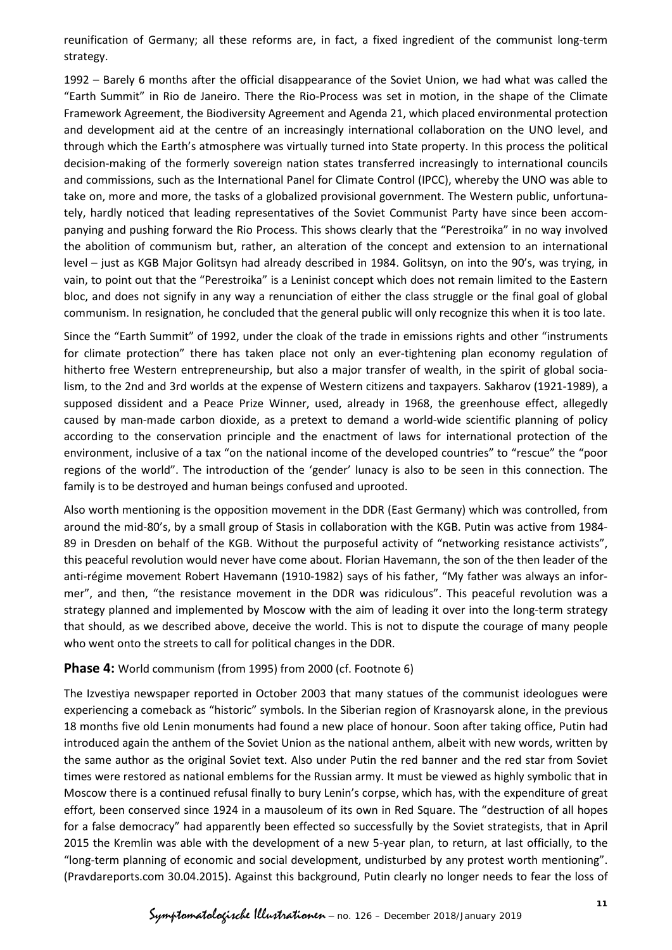reunification of Germany; all these reforms are, in fact, a fixed ingredient of the communist long-term strategy.

1992 – Barely 6 months after the official disappearance of the Soviet Union, we had what was called the "Earth Summit" in Rio de Janeiro. There the Rio-Process was set in motion, in the shape of the Climate Framework Agreement, the Biodiversity Agreement and Agenda 21, which placed environmental protection and development aid at the centre of an increasingly international collaboration on the UNO level, and through which the Earth's atmosphere was virtually turned into State property. In this process the political decision-making of the formerly sovereign nation states transferred increasingly to international councils and commissions, such as the International Panel for Climate Control (IPCC), whereby the UNO was able to take on, more and more, the tasks of a globalized provisional government. The Western public, unfortunately, hardly noticed that leading representatives of the Soviet Communist Party have since been accompanying and pushing forward the Rio Process. This shows clearly that the "Perestroika" in no way involved the abolition of communism but, rather, an alteration of the concept and extension to an international level – just as KGB Major Golitsyn had already described in 1984. Golitsyn, on into the 90's, was trying, in vain, to point out that the "Perestroika" is a Leninist concept which does not remain limited to the Eastern bloc, and does not signify in any way a renunciation of either the class struggle or the final goal of global communism. In resignation, he concluded that the general public will only recognize this when it is too late.

Since the "Earth Summit" of 1992, under the cloak of the trade in emissions rights and other "instruments for climate protection" there has taken place not only an ever-tightening plan economy regulation of hitherto free Western entrepreneurship, but also a major transfer of wealth, in the spirit of global socialism, to the 2nd and 3rd worlds at the expense of Western citizens and taxpayers. Sakharov (1921-1989), a supposed dissident and a Peace Prize Winner, used, already in 1968, the greenhouse effect, allegedly caused by man-made carbon dioxide, as a pretext to demand a world-wide scientific planning of policy according to the conservation principle and the enactment of laws for international protection of the environment, inclusive of a tax "on the national income of the developed countries" to "rescue" the "poor regions of the world". The introduction of the 'gender' lunacy is also to be seen in this connection. The family is to be destroyed and human beings confused and uprooted.

Also worth mentioning is the opposition movement in the DDR (East Germany) which was controlled, from around the mid-80's, by a small group of Stasis in collaboration with the KGB. Putin was active from 1984- 89 in Dresden on behalf of the KGB. Without the purposeful activity of "networking resistance activists", this peaceful revolution would never have come about. Florian Havemann, the son of the then leader of the anti-régime movement Robert Havemann (1910-1982) says of his father, "My father was always an informer", and then, "the resistance movement in the DDR was ridiculous". This peaceful revolution was a strategy planned and implemented by Moscow with the aim of leading it over into the long-term strategy that should, as we described above, deceive the world. This is not to dispute the courage of many people who went onto the streets to call for political changes in the DDR.

#### **Phase 4:** World communism (from 1995) from 2000 (cf. Footnote 6)

The Izvestiya newspaper reported in October 2003 that many statues of the communist ideologues were experiencing a comeback as "historic" symbols. In the Siberian region of Krasnoyarsk alone, in the previous 18 months five old Lenin monuments had found a new place of honour. Soon after taking office, Putin had introduced again the anthem of the Soviet Union as the national anthem, albeit with new words, written by the same author as the original Soviet text. Also under Putin the red banner and the red star from Soviet times were restored as national emblems for the Russian army. It must be viewed as highly symbolic that in Moscow there is a continued refusal finally to bury Lenin's corpse, which has, with the expenditure of great effort, been conserved since 1924 in a mausoleum of its own in Red Square. The "destruction of all hopes for a false democracy" had apparently been effected so successfully by the Soviet strategists, that in April 2015 the Kremlin was able with the development of a new 5-year plan, to return, at last officially, to the "long-term planning of economic and social development, undisturbed by any protest worth mentioning". (Pravdareports.com 30.04.2015). Against this background, Putin clearly no longer needs to fear the loss of